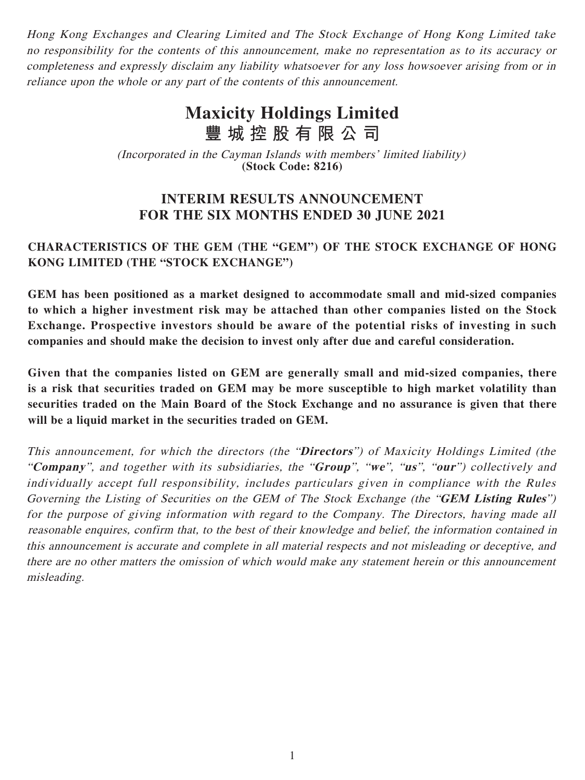Hong Kong Exchanges and Clearing Limited and The Stock Exchange of Hong Kong Limited take no responsibility for the contents of this announcement, make no representation as to its accuracy or completeness and expressly disclaim any liability whatsoever for any loss howsoever arising from or in reliance upon the whole or any part of the contents of this announcement.

# **Maxicity Holdings Limited 豐城控股有限公司**

(Incorporated in the Cayman Islands with members' limited liability) **(Stock Code: 8216)**

# **INTERIM RESULTS ANNOUNCEMENT FOR THE SIX MONTHS ENDED 30 JUNE 2021**

# **CHARACTERISTICS OF THE GEM (THE "GEM") OF THE STOCK EXCHANGE OF HONG KONG LIMITED (THE "STOCK EXCHANGE")**

**GEM has been positioned as a market designed to accommodate small and mid-sized companies to which a higher investment risk may be attached than other companies listed on the Stock Exchange. Prospective investors should be aware of the potential risks of investing in such companies and should make the decision to invest only after due and careful consideration.**

**Given that the companies listed on GEM are generally small and mid-sized companies, there is a risk that securities traded on GEM may be more susceptible to high market volatility than securities traded on the Main Board of the Stock Exchange and no assurance is given that there will be a liquid market in the securities traded on GEM.**

This announcement, for which the directors (the "**Directors**") of Maxicity Holdings Limited (the "**Company**", and together with its subsidiaries, the "**Group**", "**we**", "**us**", "**our**") collectively and individually accept full responsibility, includes particulars given in compliance with the Rules Governing the Listing of Securities on the GEM of The Stock Exchange (the "**GEM Listing Rules**") for the purpose of giving information with regard to the Company. The Directors, having made all reasonable enquires, confirm that, to the best of their knowledge and belief, the information contained in this announcement is accurate and complete in all material respects and not misleading or deceptive, and there are no other matters the omission of which would make any statement herein or this announcement misleading.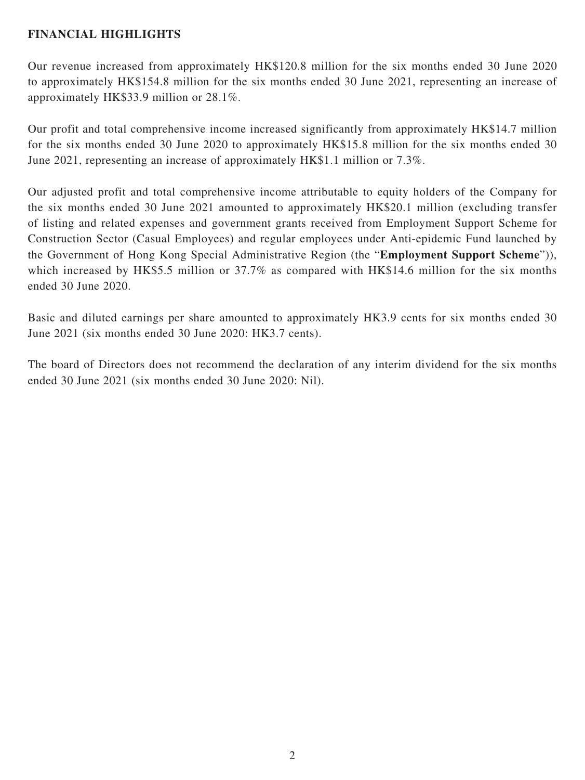# **FINANCIAL HIGHLIGHTS**

Our revenue increased from approximately HK\$120.8 million for the six months ended 30 June 2020 to approximately HK\$154.8 million for the six months ended 30 June 2021, representing an increase of approximately HK\$33.9 million or 28.1%.

Our profit and total comprehensive income increased significantly from approximately HK\$14.7 million for the six months ended 30 June 2020 to approximately HK\$15.8 million for the six months ended 30 June 2021, representing an increase of approximately HK\$1.1 million or 7.3%.

Our adjusted profit and total comprehensive income attributable to equity holders of the Company for the six months ended 30 June 2021 amounted to approximately HK\$20.1 million (excluding transfer of listing and related expenses and government grants received from Employment Support Scheme for Construction Sector (Casual Employees) and regular employees under Anti-epidemic Fund launched by the Government of Hong Kong Special Administrative Region (the "**Employment Support Scheme**")), which increased by HK\$5.5 million or 37.7% as compared with HK\$14.6 million for the six months ended 30 June 2020.

Basic and diluted earnings per share amounted to approximately HK3.9 cents for six months ended 30 June 2021 (six months ended 30 June 2020: HK3.7 cents).

The board of Directors does not recommend the declaration of any interim dividend for the six months ended 30 June 2021 (six months ended 30 June 2020: Nil).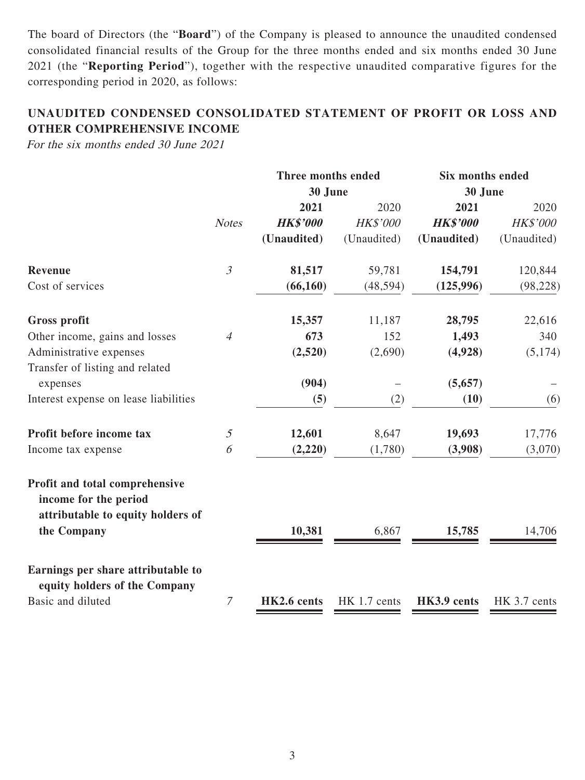The board of Directors (the "**Board**") of the Company is pleased to announce the unaudited condensed consolidated financial results of the Group for the three months ended and six months ended 30 June 2021 (the "**Reporting Period**"), together with the respective unaudited comparative figures for the corresponding period in 2020, as follows:

# **UNAUDITED CONDENSED CONSOLIDATED STATEMENT OF PROFIT OR LOSS AND OTHER COMPREHENSIVE INCOME**

For the six months ended 30 June 2021

|                                                                                              |                | Three months ended |              |                 | <b>Six months ended</b> |  |  |
|----------------------------------------------------------------------------------------------|----------------|--------------------|--------------|-----------------|-------------------------|--|--|
|                                                                                              |                | 30 June            |              | 30 June         |                         |  |  |
|                                                                                              |                | 2021               | 2020         | 2021            | 2020                    |  |  |
|                                                                                              | <b>Notes</b>   | <b>HK\$'000</b>    | HK\$'000     | <b>HK\$'000</b> | HK\$'000                |  |  |
|                                                                                              |                | (Unaudited)        | (Unaudited)  | (Unaudited)     | (Unaudited)             |  |  |
| Revenue                                                                                      | $\mathfrak{Z}$ | 81,517             | 59,781       | 154,791         | 120,844                 |  |  |
| Cost of services                                                                             |                | (66, 160)          | (48, 594)    | (125, 996)      | (98, 228)               |  |  |
| <b>Gross profit</b>                                                                          |                | 15,357             | 11,187       | 28,795          | 22,616                  |  |  |
| Other income, gains and losses                                                               | $\overline{4}$ | 673                | 152          | 1,493           | 340                     |  |  |
| Administrative expenses<br>Transfer of listing and related                                   |                | (2,520)            | (2,690)      | (4,928)         | (5,174)                 |  |  |
| expenses                                                                                     |                | (904)              |              | (5,657)         |                         |  |  |
| Interest expense on lease liabilities                                                        |                | (5)                | (2)          | (10)            | (6)                     |  |  |
| Profit before income tax                                                                     | $\mathfrak{I}$ | 12,601             | 8,647        | 19,693          | 17,776                  |  |  |
| Income tax expense                                                                           | 6              | (2,220)            | (1,780)      | (3,908)         | (3,070)                 |  |  |
| Profit and total comprehensive<br>income for the period<br>attributable to equity holders of |                |                    |              |                 |                         |  |  |
| the Company                                                                                  |                | 10,381             | 6,867        | 15,785          | 14,706                  |  |  |
| Earnings per share attributable to<br>equity holders of the Company                          |                |                    |              |                 |                         |  |  |
| Basic and diluted                                                                            | $\overline{7}$ | HK2.6 cents        | HK 1.7 cents | HK3.9 cents     | HK 3.7 cents            |  |  |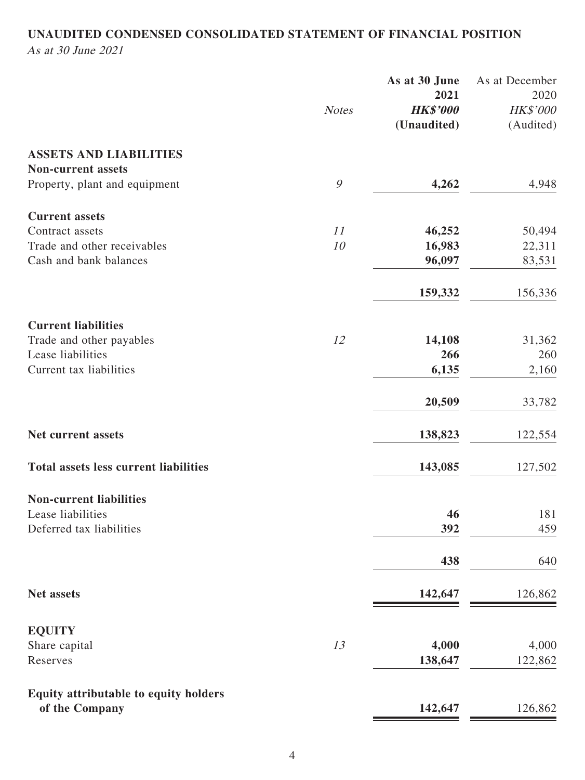# **UNAUDITED CONDENSED CONSOLIDATED STATEMENT OF FINANCIAL POSITION** As at 30 June 2021

|                                              |               | As at 30 June   | As at December |
|----------------------------------------------|---------------|-----------------|----------------|
|                                              |               | 2021            | 2020           |
|                                              | <b>Notes</b>  | <b>HK\$'000</b> | HK\$'000       |
|                                              |               | (Unaudited)     | (Audited)      |
| <b>ASSETS AND LIABILITIES</b>                |               |                 |                |
| <b>Non-current assets</b>                    |               |                 |                |
| Property, plant and equipment                | $\mathcal{G}$ | 4,262           | 4,948          |
|                                              |               |                 |                |
| <b>Current assets</b>                        |               |                 |                |
| Contract assets                              | 11            | 46,252          | 50,494         |
| Trade and other receivables                  | 10            | 16,983          | 22,311         |
| Cash and bank balances                       |               | 96,097          | 83,531         |
|                                              |               |                 |                |
|                                              |               | 159,332         | 156,336        |
| <b>Current liabilities</b>                   |               |                 |                |
| Trade and other payables                     | 12            | 14,108          | 31,362         |
| Lease liabilities                            |               | 266             | 260            |
| Current tax liabilities                      |               | 6,135           | 2,160          |
|                                              |               |                 |                |
|                                              |               | 20,509          | 33,782         |
|                                              |               |                 |                |
| Net current assets                           |               | 138,823         | 122,554        |
| <b>Total assets less current liabilities</b> |               | 143,085         | 127,502        |
|                                              |               |                 |                |
| <b>Non-current liabilities</b>               |               |                 |                |
| Lease liabilities                            |               | 46              | 181            |
| Deferred tax liabilities                     |               | 392             | 459            |
|                                              |               | 438             | 640            |
|                                              |               |                 |                |
| Net assets                                   |               | 142,647         | 126,862        |
| <b>EQUITY</b>                                |               |                 |                |
| Share capital                                | 13            | 4,000           | 4,000          |
| Reserves                                     |               | 138,647         | 122,862        |
|                                              |               |                 |                |
| Equity attributable to equity holders        |               |                 |                |
| of the Company                               |               | 142,647         | 126,862        |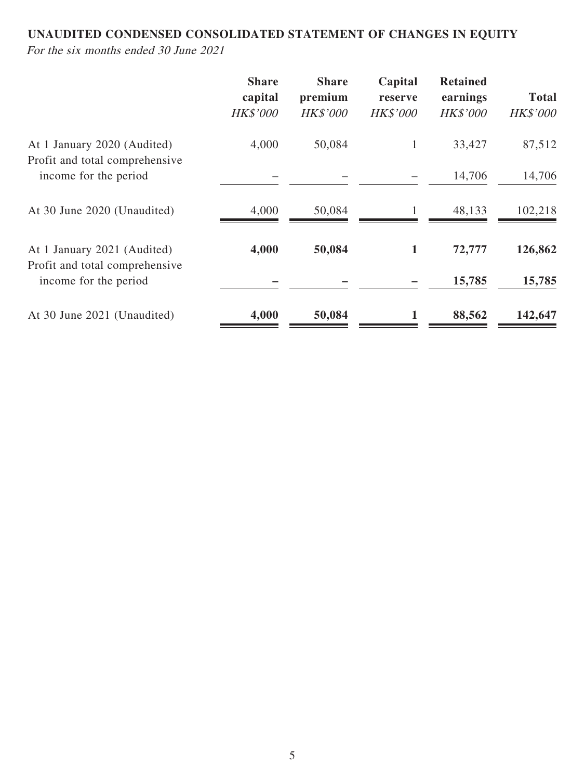# **UNAUDITED CONDENSED CONSOLIDATED STATEMENT OF CHANGES IN EQUITY**

For the six months ended 30 June 2021

|                                                               | <b>Share</b><br>capital<br><b>HK\$'000</b> | <b>Share</b><br>premium<br><b>HK\$'000</b> | Capital<br>reserve<br><b>HK\$'000</b> | <b>Retained</b><br>earnings<br><b>HK\$'000</b> | <b>Total</b><br><b>HK\$'000</b> |
|---------------------------------------------------------------|--------------------------------------------|--------------------------------------------|---------------------------------------|------------------------------------------------|---------------------------------|
| At 1 January 2020 (Audited)                                   | 4,000                                      | 50,084                                     | $\mathbf{1}$                          | 33,427                                         | 87,512                          |
| Profit and total comprehensive<br>income for the period       |                                            |                                            |                                       | 14,706                                         | 14,706                          |
| At 30 June 2020 (Unaudited)                                   | 4,000                                      | 50,084                                     |                                       | 48,133                                         | 102,218                         |
| At 1 January 2021 (Audited)<br>Profit and total comprehensive | 4,000                                      | 50,084                                     | 1                                     | 72,777                                         | 126,862                         |
| income for the period                                         |                                            |                                            |                                       | 15,785                                         | 15,785                          |
| At 30 June 2021 (Unaudited)                                   | 4,000                                      | 50,084                                     |                                       | 88,562                                         | 142,647                         |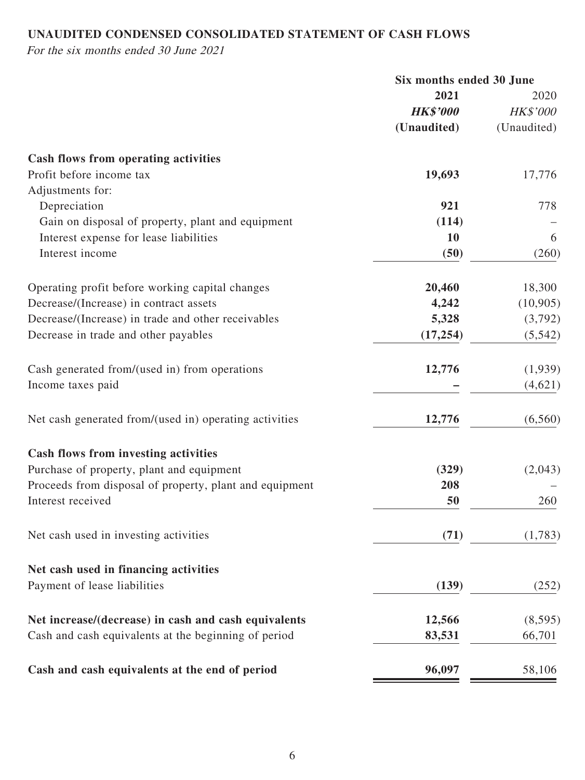# **UNAUDITED CONDENSED CONSOLIDATED STATEMENT OF CASH FLOWS**

For the six months ended 30 June 2021

|                                                         | Six months ended 30 June |                 |
|---------------------------------------------------------|--------------------------|-----------------|
|                                                         | 2021                     | 2020            |
|                                                         | <b>HK\$'000</b>          | <b>HK\$'000</b> |
|                                                         | (Unaudited)              | (Unaudited)     |
| <b>Cash flows from operating activities</b>             |                          |                 |
| Profit before income tax                                | 19,693                   | 17,776          |
| Adjustments for:                                        |                          |                 |
| Depreciation                                            | 921                      | 778             |
| Gain on disposal of property, plant and equipment       | (114)                    |                 |
| Interest expense for lease liabilities                  | 10                       | 6               |
| Interest income                                         | (50)                     | (260)           |
| Operating profit before working capital changes         | 20,460                   | 18,300          |
| Decrease/(Increase) in contract assets                  | 4,242                    | (10, 905)       |
| Decrease/(Increase) in trade and other receivables      | 5,328                    | (3,792)         |
| Decrease in trade and other payables                    | (17, 254)                | (5, 542)        |
| Cash generated from/(used in) from operations           | 12,776                   | (1,939)         |
| Income taxes paid                                       |                          | (4,621)         |
| Net cash generated from/(used in) operating activities  | 12,776                   | (6, 560)        |
| Cash flows from investing activities                    |                          |                 |
| Purchase of property, plant and equipment               | (329)                    | (2,043)         |
| Proceeds from disposal of property, plant and equipment | 208                      |                 |
| Interest received                                       | 50                       | 260             |
| Net cash used in investing activities                   | (71)                     | (1,783)         |
| Net cash used in financing activities                   |                          |                 |
| Payment of lease liabilities                            | (139)                    | (252)           |
| Net increase/(decrease) in cash and cash equivalents    | 12,566                   | (8, 595)        |
| Cash and cash equivalents at the beginning of period    | 83,531                   | 66,701          |
| Cash and cash equivalents at the end of period          | 96,097                   | 58,106          |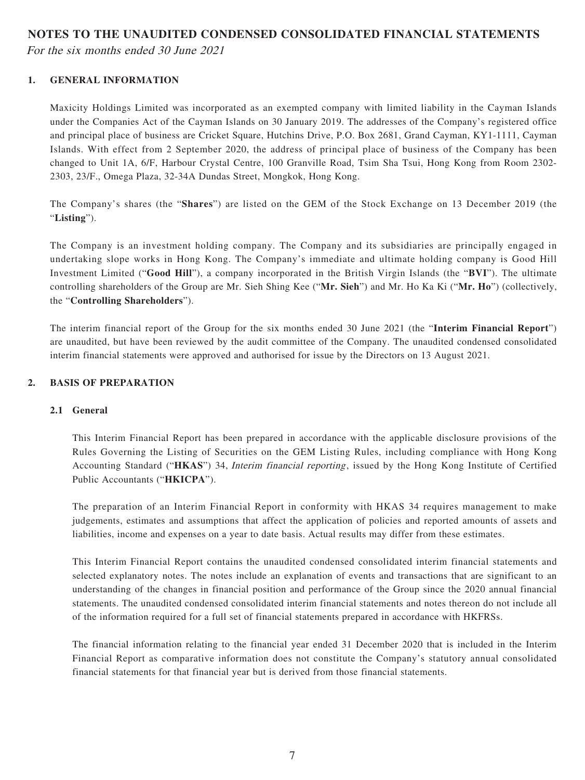#### **NOTES TO THE UNAUDITED CONDENSED CONSOLIDATED FINANCIAL STATEMENTS**

For the six months ended 30 June 2021

### **1. GENERAL INFORMATION**

Maxicity Holdings Limited was incorporated as an exempted company with limited liability in the Cayman Islands under the Companies Act of the Cayman Islands on 30 January 2019. The addresses of the Company's registered office and principal place of business are Cricket Square, Hutchins Drive, P.O. Box 2681, Grand Cayman, KY1-1111, Cayman Islands. With effect from 2 September 2020, the address of principal place of business of the Company has been changed to Unit 1A, 6/F, Harbour Crystal Centre, 100 Granville Road, Tsim Sha Tsui, Hong Kong from Room 2302- 2303, 23/F., Omega Plaza, 32-34A Dundas Street, Mongkok, Hong Kong.

The Company's shares (the "**Shares**") are listed on the GEM of the Stock Exchange on 13 December 2019 (the "**Listing**").

The Company is an investment holding company. The Company and its subsidiaries are principally engaged in undertaking slope works in Hong Kong. The Company's immediate and ultimate holding company is Good Hill Investment Limited ("**Good Hill**"), a company incorporated in the British Virgin Islands (the "**BVI**"). The ultimate controlling shareholders of the Group are Mr. Sieh Shing Kee ("**Mr. Sieh**") and Mr. Ho Ka Ki ("**Mr. Ho**") (collectively, the "**Controlling Shareholders**").

The interim financial report of the Group for the six months ended 30 June 2021 (the "**Interim Financial Report**") are unaudited, but have been reviewed by the audit committee of the Company. The unaudited condensed consolidated interim financial statements were approved and authorised for issue by the Directors on 13 August 2021.

### **2. BASIS OF PREPARATION**

### **2.1 General**

This Interim Financial Report has been prepared in accordance with the applicable disclosure provisions of the Rules Governing the Listing of Securities on the GEM Listing Rules, including compliance with Hong Kong Accounting Standard ("**HKAS**") 34, Interim financial reporting, issued by the Hong Kong Institute of Certified Public Accountants ("**HKICPA**").

The preparation of an Interim Financial Report in conformity with HKAS 34 requires management to make judgements, estimates and assumptions that affect the application of policies and reported amounts of assets and liabilities, income and expenses on a year to date basis. Actual results may differ from these estimates.

This Interim Financial Report contains the unaudited condensed consolidated interim financial statements and selected explanatory notes. The notes include an explanation of events and transactions that are significant to an understanding of the changes in financial position and performance of the Group since the 2020 annual financial statements. The unaudited condensed consolidated interim financial statements and notes thereon do not include all of the information required for a full set of financial statements prepared in accordance with HKFRSs.

The financial information relating to the financial year ended 31 December 2020 that is included in the Interim Financial Report as comparative information does not constitute the Company's statutory annual consolidated financial statements for that financial year but is derived from those financial statements.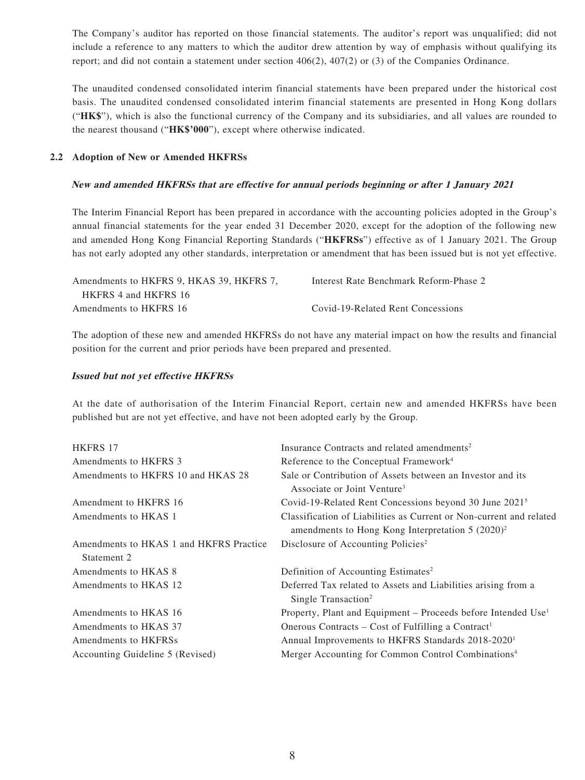The Company's auditor has reported on those financial statements. The auditor's report was unqualified; did not include a reference to any matters to which the auditor drew attention by way of emphasis without qualifying its report; and did not contain a statement under section 406(2), 407(2) or (3) of the Companies Ordinance.

The unaudited condensed consolidated interim financial statements have been prepared under the historical cost basis. The unaudited condensed consolidated interim financial statements are presented in Hong Kong dollars ("**HK\$**"), which is also the functional currency of the Company and its subsidiaries, and all values are rounded to the nearest thousand ("**HK\$'000**"), except where otherwise indicated.

#### **2.2 Adoption of New or Amended HKFRSs**

#### **New and amended HKFRSs that are effective for annual periods beginning or after 1 January 2021**

The Interim Financial Report has been prepared in accordance with the accounting policies adopted in the Group's annual financial statements for the year ended 31 December 2020, except for the adoption of the following new and amended Hong Kong Financial Reporting Standards ("**HKFRSs**") effective as of 1 January 2021. The Group has not early adopted any other standards, interpretation or amendment that has been issued but is not yet effective.

| Amendments to HKFRS 9, HKAS 39, HKFRS 7, | Interest Rate Benchmark Reform-Phase 2 |
|------------------------------------------|----------------------------------------|
| HKFRS 4 and HKFRS 16                     |                                        |
| Amendments to HKFRS 16                   | Covid-19-Related Rent Concessions      |

The adoption of these new and amended HKFRSs do not have any material impact on how the results and financial position for the current and prior periods have been prepared and presented.

#### **Issued but not yet effective HKFRSs**

At the date of authorisation of the Interim Financial Report, certain new and amended HKFRSs have been published but are not yet effective, and have not been adopted early by the Group.

| <b>HKFRS 17</b>                         | Insurance Contracts and related amendments <sup>2</sup>                                                                    |
|-----------------------------------------|----------------------------------------------------------------------------------------------------------------------------|
| Amendments to HKFRS 3                   | Reference to the Conceptual Framework <sup>4</sup>                                                                         |
| Amendments to HKFRS 10 and HKAS 28      | Sale or Contribution of Assets between an Investor and its<br>Associate or Joint Venture <sup>3</sup>                      |
| Amendment to HKFRS 16                   | Covid-19-Related Rent Concessions beyond 30 June 2021 <sup>5</sup>                                                         |
| Amendments to HKAS 1                    | Classification of Liabilities as Current or Non-current and related<br>amendments to Hong Kong Interpretation $5 (2020)^2$ |
| Amendments to HKAS 1 and HKFRS Practice | Disclosure of Accounting Policies <sup>2</sup>                                                                             |
| Statement 2                             |                                                                                                                            |
| Amendments to HKAS 8                    | Definition of Accounting Estimates <sup>2</sup>                                                                            |
| Amendments to HKAS 12                   | Deferred Tax related to Assets and Liabilities arising from a<br>Single Transaction <sup>2</sup>                           |
| Amendments to HKAS 16                   | Property, Plant and Equipment – Proceeds before Intended Use <sup>1</sup>                                                  |
| Amendments to HKAS 37                   | Onerous Contracts – Cost of Fulfilling a Contract <sup>1</sup>                                                             |
| Amendments to HKFRSs                    | Annual Improvements to HKFRS Standards 2018-2020 <sup>1</sup>                                                              |
| Accounting Guideline 5 (Revised)        | Merger Accounting for Common Control Combinations <sup>4</sup>                                                             |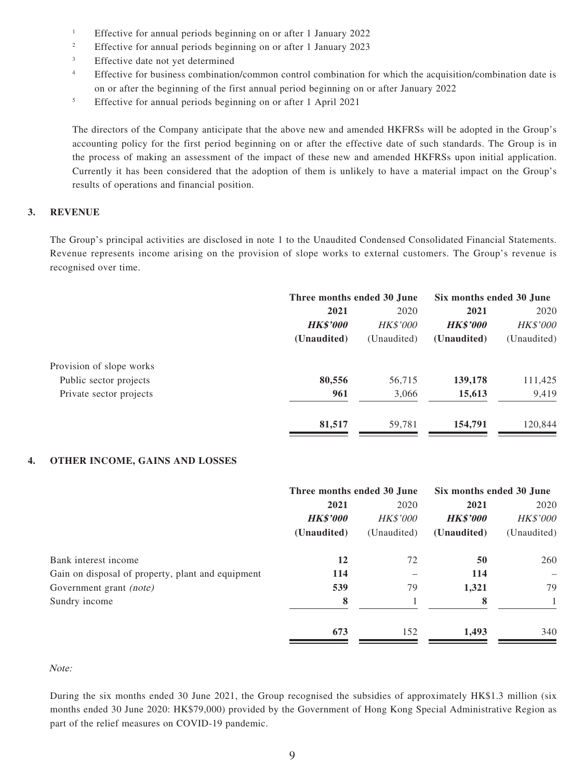- 1 Effective for annual periods beginning on or after 1 January 2022
- 2 Effective for annual periods beginning on or after 1 January 2023
- 3 Effective date not yet determined
- 4 Effective for business combination/common control combination for which the acquisition/combination date is on or after the beginning of the first annual period beginning on or after January 2022
- 5 Effective for annual periods beginning on or after 1 April 2021

The directors of the Company anticipate that the above new and amended HKFRSs will be adopted in the Group's accounting policy for the first period beginning on or after the effective date of such standards. The Group is in the process of making an assessment of the impact of these new and amended HKFRSs upon initial application. Currently it has been considered that the adoption of them is unlikely to have a material impact on the Group's results of operations and financial position.

#### **3. REVENUE**

The Group's principal activities are disclosed in note 1 to the Unaudited Condensed Consolidated Financial Statements. Revenue represents income arising on the provision of slope works to external customers. The Group's revenue is recognised over time.

|                          |                 | Three months ended 30 June |                 | Six months ended 30 June |
|--------------------------|-----------------|----------------------------|-----------------|--------------------------|
|                          | 2021            | 2020                       | 2021            | 2020                     |
|                          | <b>HK\$'000</b> | <b>HK\$'000</b>            | <b>HK\$'000</b> | <b>HK\$'000</b>          |
|                          | (Unaudited)     | (Unaudited)                | (Unaudited)     | (Unaudited)              |
| Provision of slope works |                 |                            |                 |                          |
| Public sector projects   | 80,556          | 56,715                     | 139,178         | 111,425                  |
| Private sector projects  | 961             | 3,066                      | 15,613          | 9,419                    |
|                          | 81,517          | 59,781                     | 154,791         | 120,844                  |

#### **4. OTHER INCOME, GAINS AND LOSSES**

|                                                   | Three months ended 30 June |                 | Six months ended 30 June |                 |
|---------------------------------------------------|----------------------------|-----------------|--------------------------|-----------------|
|                                                   | 2021                       | 2020            | 2021                     | 2020            |
|                                                   | <b>HK\$'000</b>            | <b>HK\$'000</b> | <b>HK\$'000</b>          | <b>HK\$'000</b> |
|                                                   | (Unaudited)                | (Unaudited)     | (Unaudited)              | (Unaudited)     |
| Bank interest income                              | 12                         | 72              | 50                       | 260             |
| Gain on disposal of property, plant and equipment | 114                        |                 | 114                      |                 |
| Government grant (note)                           | 539                        | 79              | 1,321                    | 79              |
| Sundry income                                     | 8                          |                 | 8                        |                 |
|                                                   | 673                        | 152             | 1,493                    | 340             |

#### Note:

During the six months ended 30 June 2021, the Group recognised the subsidies of approximately HK\$1.3 million (six months ended 30 June 2020: HK\$79,000) provided by the Government of Hong Kong Special Administrative Region as part of the relief measures on COVID-19 pandemic.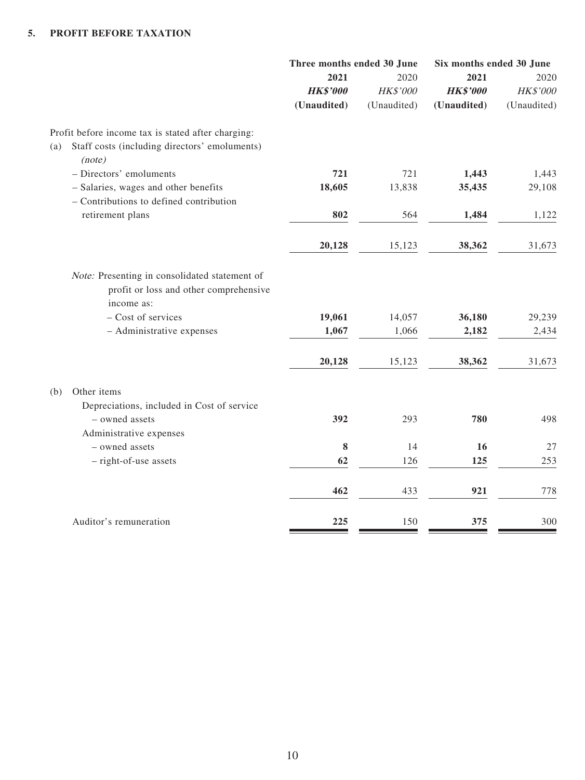|                                                                                                       | Three months ended 30 June |             | Six months ended 30 June |             |
|-------------------------------------------------------------------------------------------------------|----------------------------|-------------|--------------------------|-------------|
|                                                                                                       | 2021                       | 2020        | 2021                     | 2020        |
|                                                                                                       | <b>HK\$'000</b>            | HK\$'000    | <b>HK\$'000</b>          | HK\$'000    |
|                                                                                                       | (Unaudited)                | (Unaudited) | (Unaudited)              | (Unaudited) |
| Profit before income tax is stated after charging:                                                    |                            |             |                          |             |
| Staff costs (including directors' emoluments)<br>(a)<br>(note)                                        |                            |             |                          |             |
| - Directors' emoluments                                                                               | 721                        | 721         | 1,443                    | 1,443       |
| - Salaries, wages and other benefits                                                                  | 18,605                     | 13,838      | 35,435                   | 29,108      |
| - Contributions to defined contribution                                                               |                            |             |                          |             |
| retirement plans                                                                                      | 802                        | 564         | 1,484                    | 1,122       |
|                                                                                                       | 20,128                     | 15,123      | 38,362                   | 31,673      |
| Note: Presenting in consolidated statement of<br>profit or loss and other comprehensive<br>income as: |                            |             |                          |             |
| - Cost of services                                                                                    | 19,061                     | 14,057      | 36,180                   | 29,239      |
| - Administrative expenses                                                                             | 1,067                      | 1,066       | 2,182                    | 2,434       |
|                                                                                                       | 20,128                     | 15,123      | 38,362                   | 31,673      |
| Other items<br>(b)                                                                                    |                            |             |                          |             |
| Depreciations, included in Cost of service                                                            |                            |             |                          |             |
| - owned assets                                                                                        | 392                        | 293         | 780                      | 498         |
| Administrative expenses                                                                               |                            |             |                          |             |
| - owned assets                                                                                        | ${\bf 8}$                  | 14          | 16                       | 27          |
| - right-of-use assets                                                                                 | 62                         | 126         | 125                      | 253         |
|                                                                                                       | 462                        | 433         | 921                      | 778         |
| Auditor's remuneration                                                                                | 225                        | 150         | 375                      | 300         |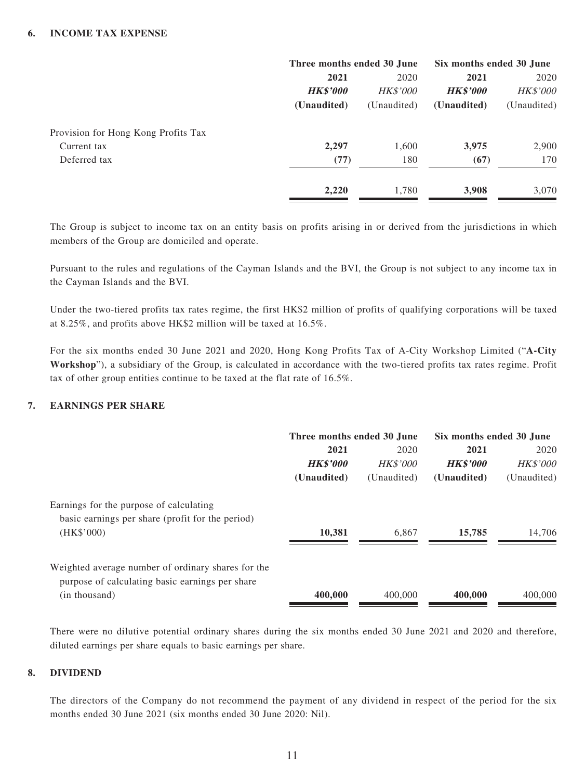|                                     | Three months ended 30 June |                 | Six months ended 30 June |                 |
|-------------------------------------|----------------------------|-----------------|--------------------------|-----------------|
|                                     | 2021                       | 2020            | 2021                     | 2020            |
|                                     | <b>HK\$'000</b>            | <b>HK\$'000</b> | <b>HK\$'000</b>          | <b>HK\$'000</b> |
|                                     | (Unaudited)                | (Unaudited)     | (Unaudited)              | (Unaudited)     |
| Provision for Hong Kong Profits Tax |                            |                 |                          |                 |
| Current tax                         | 2,297                      | 1,600           | 3,975                    | 2,900           |
| Deferred tax                        | (77)                       | 180             | (67)                     | 170             |
|                                     | 2,220                      | 1,780           | 3,908                    | 3,070           |

The Group is subject to income tax on an entity basis on profits arising in or derived from the jurisdictions in which members of the Group are domiciled and operate.

Pursuant to the rules and regulations of the Cayman Islands and the BVI, the Group is not subject to any income tax in the Cayman Islands and the BVI.

Under the two-tiered profits tax rates regime, the first HK\$2 million of profits of qualifying corporations will be taxed at 8.25%, and profits above HK\$2 million will be taxed at 16.5%.

For the six months ended 30 June 2021 and 2020, Hong Kong Profits Tax of A-City Workshop Limited ("**A-City Workshop**"), a subsidiary of the Group, is calculated in accordance with the two-tiered profits tax rates regime. Profit tax of other group entities continue to be taxed at the flat rate of 16.5%.

#### **7. EARNINGS PER SHARE**

|                                                                                                       | Three months ended 30 June |                 | Six months ended 30 June |                 |
|-------------------------------------------------------------------------------------------------------|----------------------------|-----------------|--------------------------|-----------------|
|                                                                                                       | 2021                       | 2020            | 2021                     | 2020            |
|                                                                                                       | <b>HK\$'000</b>            | <b>HK\$'000</b> | <b>HK\$'000</b>          | <b>HK\$'000</b> |
|                                                                                                       | (Unaudited)                | (Unaudited)     | (Unaudited)              | (Unaudited)     |
| Earnings for the purpose of calculating                                                               |                            |                 |                          |                 |
| basic earnings per share (profit for the period)<br>(HK\$'000)                                        | 10,381                     | 6.867           | 15,785                   | 14,706          |
| Weighted average number of ordinary shares for the<br>purpose of calculating basic earnings per share |                            |                 |                          |                 |
| (in thousand)                                                                                         | 400,000                    | 400,000         | 400,000                  | 400,000         |

There were no dilutive potential ordinary shares during the six months ended 30 June 2021 and 2020 and therefore, diluted earnings per share equals to basic earnings per share.

#### **8. DIVIDEND**

The directors of the Company do not recommend the payment of any dividend in respect of the period for the six months ended 30 June 2021 (six months ended 30 June 2020: Nil).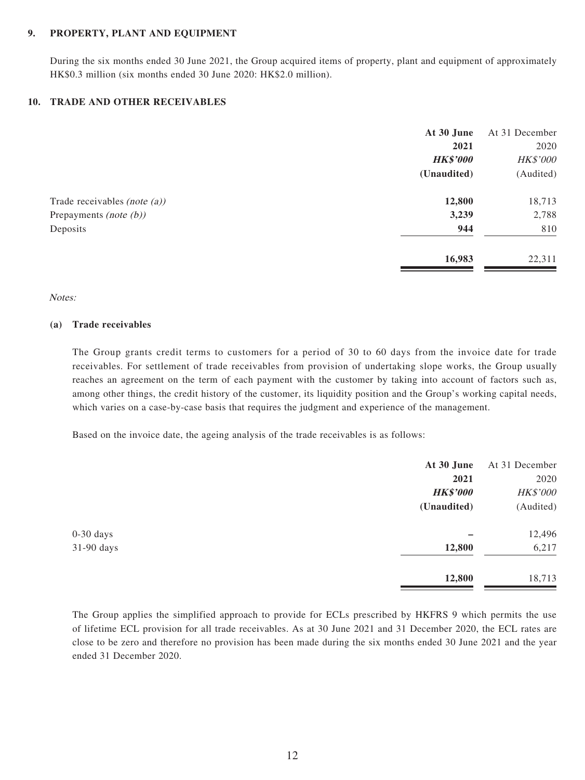#### **9. PROPERTY, PLANT AND EQUIPMENT**

During the six months ended 30 June 2021, the Group acquired items of property, plant and equipment of approximately HK\$0.3 million (six months ended 30 June 2020: HK\$2.0 million).

#### **10. TRADE AND OTHER RECEIVABLES**

|                                 | At 30 June      | At 31 December |
|---------------------------------|-----------------|----------------|
|                                 | 2021            | 2020           |
|                                 | <b>HK\$'000</b> | HK\$'000       |
|                                 | (Unaudited)     | (Audited)      |
| Trade receivables (note $(a)$ ) | 12,800          | 18,713         |
| Prepayments (note $(b)$ )       | 3,239           | 2,788          |
| Deposits                        | 944             | 810            |
|                                 | 16,983          | 22,311         |

#### Notes:

#### **(a) Trade receivables**

The Group grants credit terms to customers for a period of 30 to 60 days from the invoice date for trade receivables. For settlement of trade receivables from provision of undertaking slope works, the Group usually reaches an agreement on the term of each payment with the customer by taking into account of factors such as, among other things, the credit history of the customer, its liquidity position and the Group's working capital needs, which varies on a case-by-case basis that requires the judgment and experience of the management.

Based on the invoice date, the ageing analysis of the trade receivables is as follows:

|             | At 30 June      | At 31 December |
|-------------|-----------------|----------------|
|             | 2021            | 2020           |
|             | <b>HK\$'000</b> | HK\$'000       |
|             | (Unaudited)     | (Audited)      |
| $0-30$ days |                 | 12,496         |
| 31-90 days  | 12,800          | 6,217          |
|             | 12,800          | 18,713         |

The Group applies the simplified approach to provide for ECLs prescribed by HKFRS 9 which permits the use of lifetime ECL provision for all trade receivables. As at 30 June 2021 and 31 December 2020, the ECL rates are close to be zero and therefore no provision has been made during the six months ended 30 June 2021 and the year ended 31 December 2020.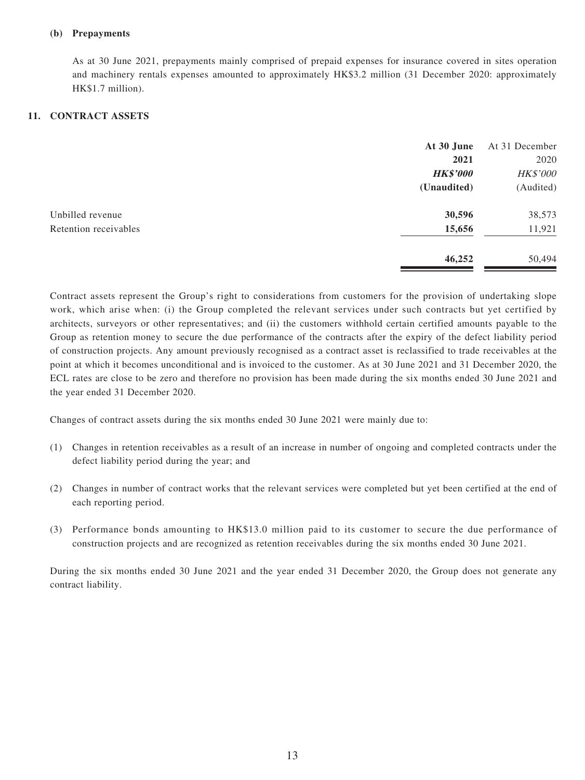#### **(b) Prepayments**

As at 30 June 2021, prepayments mainly comprised of prepaid expenses for insurance covered in sites operation and machinery rentals expenses amounted to approximately HK\$3.2 million (31 December 2020: approximately HK\$1.7 million).

#### **11. CONTRACT ASSETS**

|                       | At 30 June      | At 31 December |
|-----------------------|-----------------|----------------|
|                       | 2021            | 2020           |
|                       | <b>HK\$'000</b> | HK\$'000       |
|                       | (Unaudited)     | (Audited)      |
| Unbilled revenue      | 30,596          | 38,573         |
| Retention receivables | 15,656          | 11,921         |
|                       | 46,252          | 50,494         |

Contract assets represent the Group's right to considerations from customers for the provision of undertaking slope work, which arise when: (i) the Group completed the relevant services under such contracts but yet certified by architects, surveyors or other representatives; and (ii) the customers withhold certain certified amounts payable to the Group as retention money to secure the due performance of the contracts after the expiry of the defect liability period of construction projects. Any amount previously recognised as a contract asset is reclassified to trade receivables at the point at which it becomes unconditional and is invoiced to the customer. As at 30 June 2021 and 31 December 2020, the ECL rates are close to be zero and therefore no provision has been made during the six months ended 30 June 2021 and the year ended 31 December 2020.

Changes of contract assets during the six months ended 30 June 2021 were mainly due to:

- (1) Changes in retention receivables as a result of an increase in number of ongoing and completed contracts under the defect liability period during the year; and
- (2) Changes in number of contract works that the relevant services were completed but yet been certified at the end of each reporting period.
- (3) Performance bonds amounting to HK\$13.0 million paid to its customer to secure the due performance of construction projects and are recognized as retention receivables during the six months ended 30 June 2021.

During the six months ended 30 June 2021 and the year ended 31 December 2020, the Group does not generate any contract liability.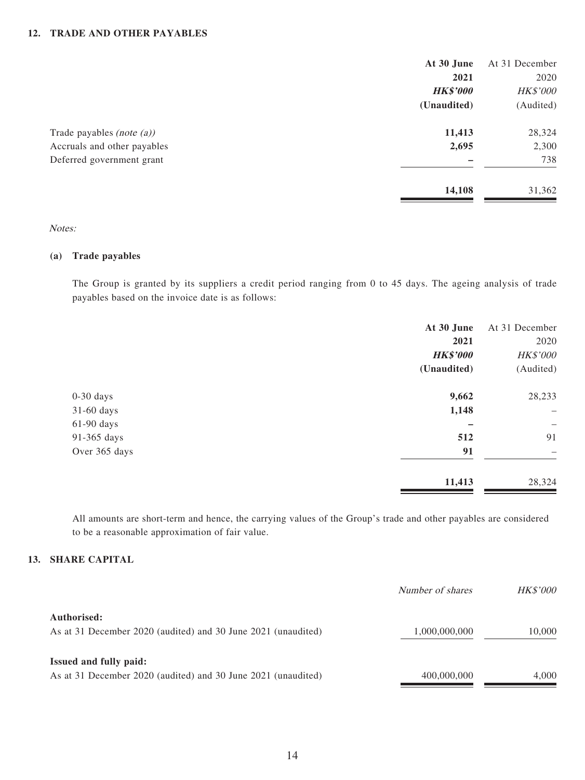#### **12. TRADE AND OTHER PAYABLES**

|                              | At 30 June      | At 31 December |
|------------------------------|-----------------|----------------|
|                              | 2021            | 2020           |
|                              | <b>HK\$'000</b> | HK\$'000       |
|                              | (Unaudited)     | (Audited)      |
| Trade payables (note $(a)$ ) | 11,413          | 28,324         |
| Accruals and other payables  | 2,695           | 2,300          |
| Deferred government grant    |                 | 738            |
|                              | 14,108          | 31,362         |

#### Notes:

#### **(a) Trade payables**

The Group is granted by its suppliers a credit period ranging from 0 to 45 days. The ageing analysis of trade payables based on the invoice date is as follows:

|               | At 30 June      | At 31 December           |
|---------------|-----------------|--------------------------|
|               | 2021            | 2020                     |
|               | <b>HK\$'000</b> | HK\$'000                 |
|               | (Unaudited)     | (Audited)                |
| $0-30$ days   | 9,662           | 28,233                   |
| 31-60 days    | 1,148           | $\overline{\phantom{m}}$ |
| $61-90$ days  |                 | -                        |
| 91-365 days   | 512             | 91                       |
| Over 365 days | 91              | -                        |
|               | 11,413          | 28,324                   |
|               |                 |                          |

All amounts are short-term and hence, the carrying values of the Group's trade and other payables are considered to be a reasonable approximation of fair value.

#### **13. SHARE CAPITAL**

|                                                               | Number of shares | <b>HK\$'000</b> |
|---------------------------------------------------------------|------------------|-----------------|
| Authorised:                                                   |                  |                 |
| As at 31 December 2020 (audited) and 30 June 2021 (unaudited) | 1,000,000,000    | 10,000          |
| <b>Issued and fully paid:</b>                                 |                  |                 |
| As at 31 December 2020 (audited) and 30 June 2021 (unaudited) | 400,000,000      | 4,000           |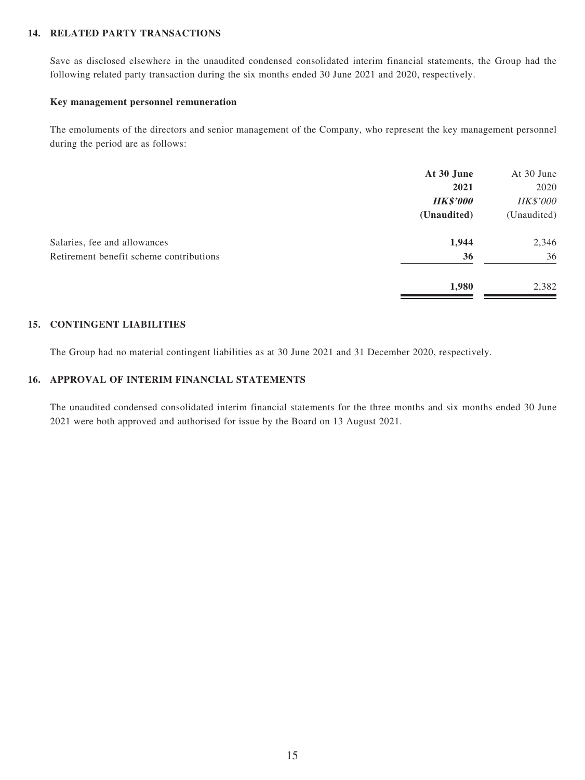#### **14. RELATED PARTY TRANSACTIONS**

Save as disclosed elsewhere in the unaudited condensed consolidated interim financial statements, the Group had the following related party transaction during the six months ended 30 June 2021 and 2020, respectively.

#### **Key management personnel remuneration**

The emoluments of the directors and senior management of the Company, who represent the key management personnel during the period are as follows:

|                                         | At 30 June      | At 30 June  |
|-----------------------------------------|-----------------|-------------|
|                                         | 2021            | 2020        |
|                                         | <b>HK\$'000</b> | HK\$'000    |
|                                         | (Unaudited)     | (Unaudited) |
| Salaries, fee and allowances            | 1,944           | 2,346       |
| Retirement benefit scheme contributions | 36              | 36          |
|                                         | 1,980           | 2,382       |

#### **15. CONTINGENT LIABILITIES**

The Group had no material contingent liabilities as at 30 June 2021 and 31 December 2020, respectively.

#### **16. APPROVAL OF INTERIM FINANCIAL STATEMENTS**

The unaudited condensed consolidated interim financial statements for the three months and six months ended 30 June 2021 were both approved and authorised for issue by the Board on 13 August 2021.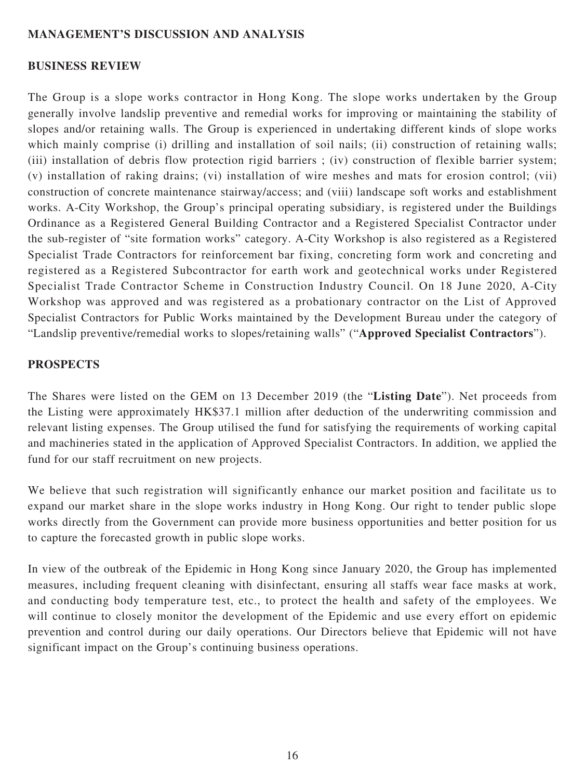#### **MANAGEMENT'S DISCUSSION AND ANALYSIS**

#### **BUSINESS REVIEW**

The Group is a slope works contractor in Hong Kong. The slope works undertaken by the Group generally involve landslip preventive and remedial works for improving or maintaining the stability of slopes and/or retaining walls. The Group is experienced in undertaking different kinds of slope works which mainly comprise (i) drilling and installation of soil nails; (ii) construction of retaining walls; (iii) installation of debris flow protection rigid barriers ; (iv) construction of flexible barrier system; (v) installation of raking drains; (vi) installation of wire meshes and mats for erosion control; (vii) construction of concrete maintenance stairway/access; and (viii) landscape soft works and establishment works. A-City Workshop, the Group's principal operating subsidiary, is registered under the Buildings Ordinance as a Registered General Building Contractor and a Registered Specialist Contractor under the sub-register of "site formation works" category. A-City Workshop is also registered as a Registered Specialist Trade Contractors for reinforcement bar fixing, concreting form work and concreting and registered as a Registered Subcontractor for earth work and geotechnical works under Registered Specialist Trade Contractor Scheme in Construction Industry Council. On 18 June 2020, A-City Workshop was approved and was registered as a probationary contractor on the List of Approved Specialist Contractors for Public Works maintained by the Development Bureau under the category of "Landslip preventive/remedial works to slopes/retaining walls" ("**Approved Specialist Contractors**").

#### **PROSPECTS**

The Shares were listed on the GEM on 13 December 2019 (the "**Listing Date**"). Net proceeds from the Listing were approximately HK\$37.1 million after deduction of the underwriting commission and relevant listing expenses. The Group utilised the fund for satisfying the requirements of working capital and machineries stated in the application of Approved Specialist Contractors. In addition, we applied the fund for our staff recruitment on new projects.

We believe that such registration will significantly enhance our market position and facilitate us to expand our market share in the slope works industry in Hong Kong. Our right to tender public slope works directly from the Government can provide more business opportunities and better position for us to capture the forecasted growth in public slope works.

In view of the outbreak of the Epidemic in Hong Kong since January 2020, the Group has implemented measures, including frequent cleaning with disinfectant, ensuring all staffs wear face masks at work, and conducting body temperature test, etc., to protect the health and safety of the employees. We will continue to closely monitor the development of the Epidemic and use every effort on epidemic prevention and control during our daily operations. Our Directors believe that Epidemic will not have significant impact on the Group's continuing business operations.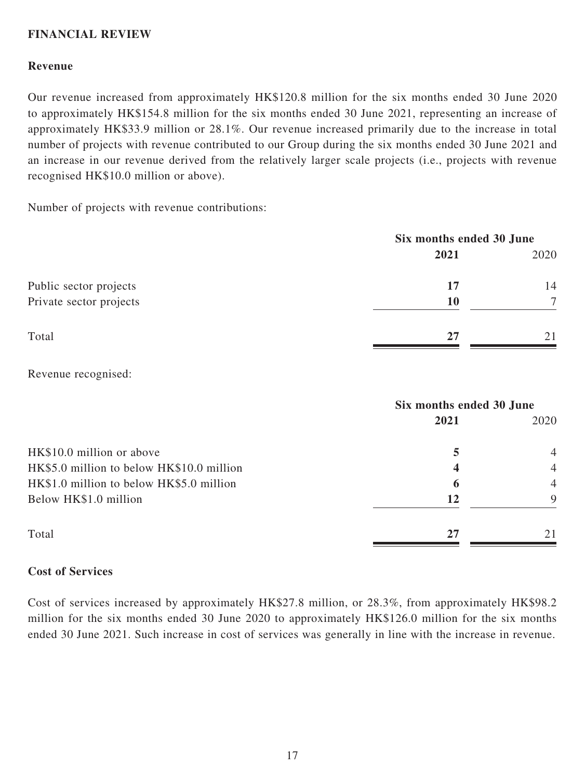### **FINANCIAL REVIEW**

#### **Revenue**

Our revenue increased from approximately HK\$120.8 million for the six months ended 30 June 2020 to approximately HK\$154.8 million for the six months ended 30 June 2021, representing an increase of approximately HK\$33.9 million or 28.1%. Our revenue increased primarily due to the increase in total number of projects with revenue contributed to our Group during the six months ended 30 June 2021 and an increase in our revenue derived from the relatively larger scale projects (i.e., projects with revenue recognised HK\$10.0 million or above).

Number of projects with revenue contributions:

|                         | Six months ended 30 June |        |
|-------------------------|--------------------------|--------|
|                         | 2021                     | 2020   |
| Public sector projects  | 17                       | 14     |
| Private sector projects | 10                       | $\tau$ |
| Total                   | 27                       | 21     |

Revenue recognised:

|                                           | Six months ended 30 June |                |
|-------------------------------------------|--------------------------|----------------|
|                                           | 2021                     | 2020           |
| HK\$10.0 million or above                 | 5                        | $\overline{4}$ |
| HK\$5.0 million to below HK\$10.0 million | 4                        | $\overline{4}$ |
| HK\$1.0 million to below HK\$5.0 million  | 6                        | $\overline{4}$ |
| Below HK\$1.0 million                     | 12                       | 9              |
| Total                                     | 27                       | 21             |

#### **Cost of Services**

Cost of services increased by approximately HK\$27.8 million, or 28.3%, from approximately HK\$98.2 million for the six months ended 30 June 2020 to approximately HK\$126.0 million for the six months ended 30 June 2021. Such increase in cost of services was generally in line with the increase in revenue.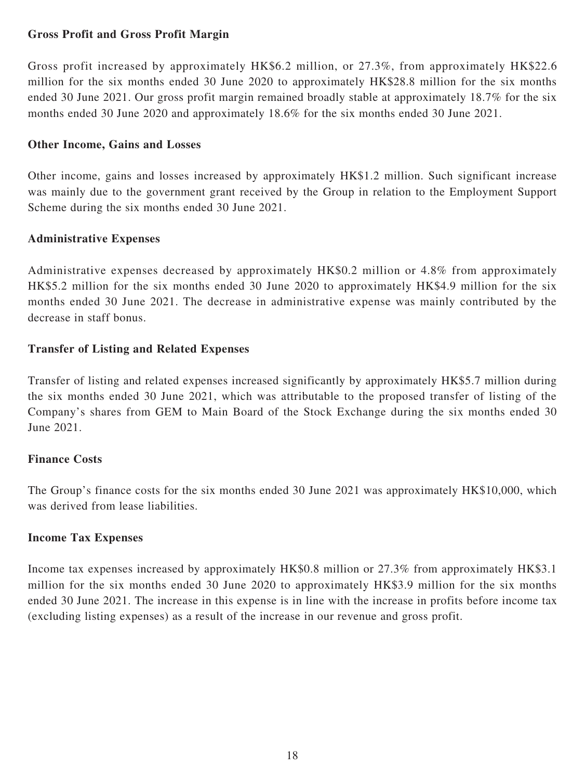### **Gross Profit and Gross Profit Margin**

Gross profit increased by approximately HK\$6.2 million, or 27.3%, from approximately HK\$22.6 million for the six months ended 30 June 2020 to approximately HK\$28.8 million for the six months ended 30 June 2021. Our gross profit margin remained broadly stable at approximately 18.7% for the six months ended 30 June 2020 and approximately 18.6% for the six months ended 30 June 2021.

## **Other Income, Gains and Losses**

Other income, gains and losses increased by approximately HK\$1.2 million. Such significant increase was mainly due to the government grant received by the Group in relation to the Employment Support Scheme during the six months ended 30 June 2021.

## **Administrative Expenses**

Administrative expenses decreased by approximately HK\$0.2 million or 4.8% from approximately HK\$5.2 million for the six months ended 30 June 2020 to approximately HK\$4.9 million for the six months ended 30 June 2021. The decrease in administrative expense was mainly contributed by the decrease in staff bonus.

## **Transfer of Listing and Related Expenses**

Transfer of listing and related expenses increased significantly by approximately HK\$5.7 million during the six months ended 30 June 2021, which was attributable to the proposed transfer of listing of the Company's shares from GEM to Main Board of the Stock Exchange during the six months ended 30 June 2021.

# **Finance Costs**

The Group's finance costs for the six months ended 30 June 2021 was approximately HK\$10,000, which was derived from lease liabilities.

### **Income Tax Expenses**

Income tax expenses increased by approximately HK\$0.8 million or 27.3% from approximately HK\$3.1 million for the six months ended 30 June 2020 to approximately HK\$3.9 million for the six months ended 30 June 2021. The increase in this expense is in line with the increase in profits before income tax (excluding listing expenses) as a result of the increase in our revenue and gross profit.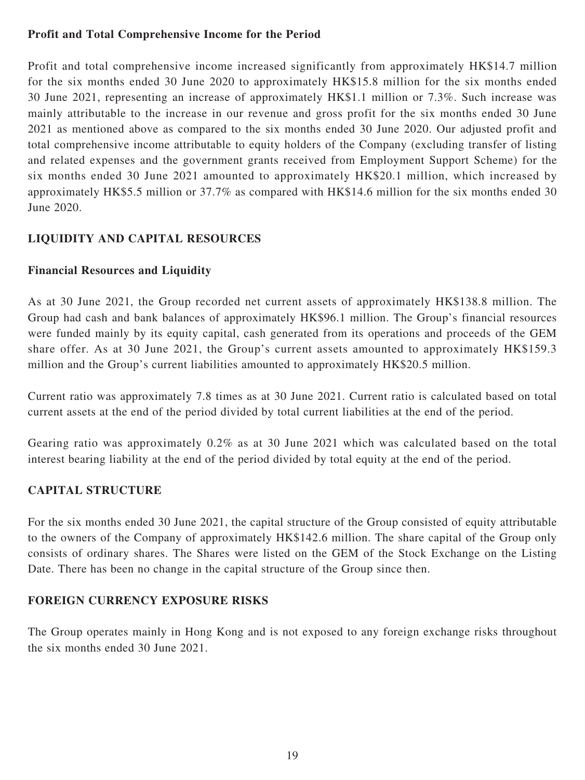# **Profit and Total Comprehensive Income for the Period**

Profit and total comprehensive income increased significantly from approximately HK\$14.7 million for the six months ended 30 June 2020 to approximately HK\$15.8 million for the six months ended 30 June 2021, representing an increase of approximately HK\$1.1 million or 7.3%. Such increase was mainly attributable to the increase in our revenue and gross profit for the six months ended 30 June 2021 as mentioned above as compared to the six months ended 30 June 2020. Our adjusted profit and total comprehensive income attributable to equity holders of the Company (excluding transfer of listing and related expenses and the government grants received from Employment Support Scheme) for the six months ended 30 June 2021 amounted to approximately HK\$20.1 million, which increased by approximately HK\$5.5 million or 37.7% as compared with HK\$14.6 million for the six months ended 30 June 2020.

# **LIQUIDITY AND CAPITAL RESOURCES**

## **Financial Resources and Liquidity**

As at 30 June 2021, the Group recorded net current assets of approximately HK\$138.8 million. The Group had cash and bank balances of approximately HK\$96.1 million. The Group's financial resources were funded mainly by its equity capital, cash generated from its operations and proceeds of the GEM share offer. As at 30 June 2021, the Group's current assets amounted to approximately HK\$159.3 million and the Group's current liabilities amounted to approximately HK\$20.5 million.

Current ratio was approximately 7.8 times as at 30 June 2021. Current ratio is calculated based on total current assets at the end of the period divided by total current liabilities at the end of the period.

Gearing ratio was approximately 0.2% as at 30 June 2021 which was calculated based on the total interest bearing liability at the end of the period divided by total equity at the end of the period.

# **CAPITAL STRUCTURE**

For the six months ended 30 June 2021, the capital structure of the Group consisted of equity attributable to the owners of the Company of approximately HK\$142.6 million. The share capital of the Group only consists of ordinary shares. The Shares were listed on the GEM of the Stock Exchange on the Listing Date. There has been no change in the capital structure of the Group since then.

### **FOREIGN CURRENCY EXPOSURE RISKS**

The Group operates mainly in Hong Kong and is not exposed to any foreign exchange risks throughout the six months ended 30 June 2021.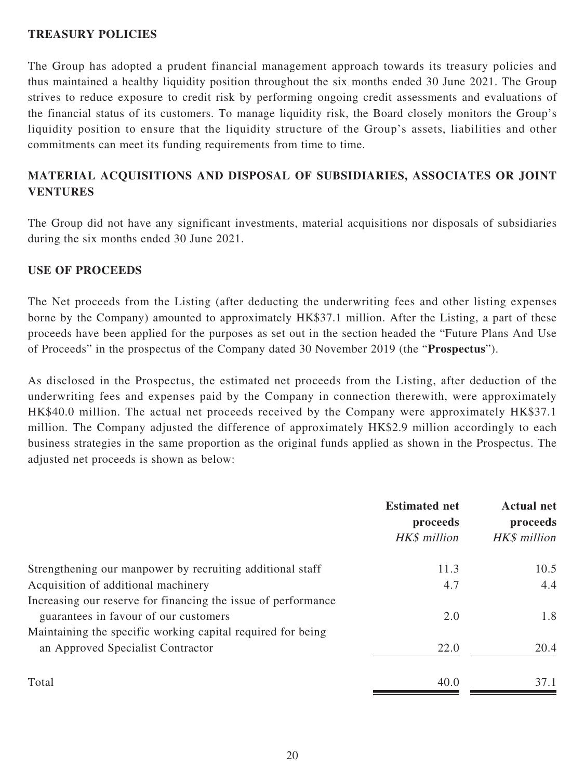#### **TREASURY POLICIES**

The Group has adopted a prudent financial management approach towards its treasury policies and thus maintained a healthy liquidity position throughout the six months ended 30 June 2021. The Group strives to reduce exposure to credit risk by performing ongoing credit assessments and evaluations of the financial status of its customers. To manage liquidity risk, the Board closely monitors the Group's liquidity position to ensure that the liquidity structure of the Group's assets, liabilities and other commitments can meet its funding requirements from time to time.

# **MATERIAL ACQUISITIONS AND DISPOSAL OF SUBSIDIARIES, ASSOCIATES OR JOINT VENTURES**

The Group did not have any significant investments, material acquisitions nor disposals of subsidiaries during the six months ended 30 June 2021.

#### **USE OF PROCEEDS**

The Net proceeds from the Listing (after deducting the underwriting fees and other listing expenses borne by the Company) amounted to approximately HK\$37.1 million. After the Listing, a part of these proceeds have been applied for the purposes as set out in the section headed the "Future Plans And Use of Proceeds" in the prospectus of the Company dated 30 November 2019 (the "**Prospectus**").

As disclosed in the Prospectus, the estimated net proceeds from the Listing, after deduction of the underwriting fees and expenses paid by the Company in connection therewith, were approximately HK\$40.0 million. The actual net proceeds received by the Company were approximately HK\$37.1 million. The Company adjusted the difference of approximately HK\$2.9 million accordingly to each business strategies in the same proportion as the original funds applied as shown in the Prospectus. The adjusted net proceeds is shown as below:

|                                                               | <b>Estimated net</b><br>proceeds<br>HK\$ million | <b>Actual net</b><br>proceeds<br>HK\$ million |
|---------------------------------------------------------------|--------------------------------------------------|-----------------------------------------------|
| Strengthening our manpower by recruiting additional staff     | 11.3                                             | 10.5                                          |
| Acquisition of additional machinery                           | 4.7                                              | 4.4                                           |
| Increasing our reserve for financing the issue of performance |                                                  |                                               |
| guarantees in favour of our customers                         | 2.0                                              | 1.8                                           |
| Maintaining the specific working capital required for being   |                                                  |                                               |
| an Approved Specialist Contractor                             | 22.0                                             | 20.4                                          |
| Total                                                         | 40.0                                             | 37.1                                          |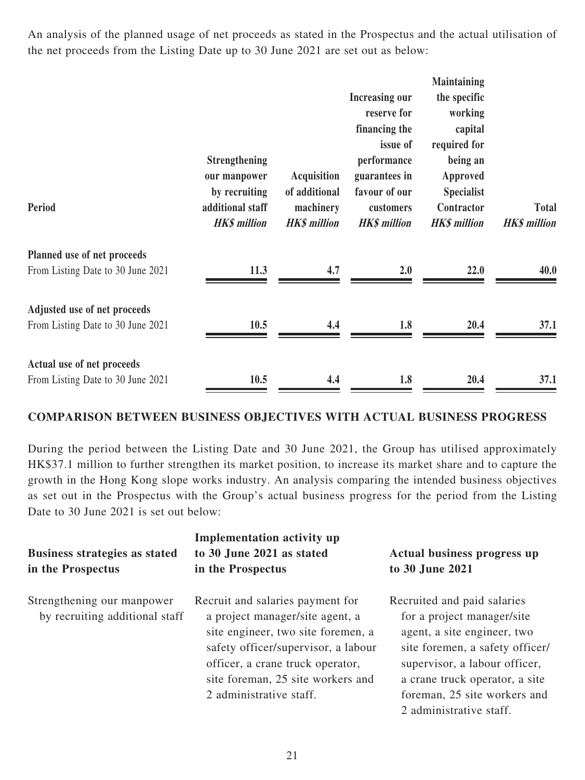An analysis of the planned usage of net proceeds as stated in the Prospectus and the actual utilisation of the net proceeds from the Listing Date up to 30 June 2021 are set out as below:

|                                                                   | <b>Strengthening</b><br>our manpower                     | <b>Acquisition</b>                                | <b>Increasing our</b><br>reserve for<br>financing the<br>issue of<br>performance<br>guarantees in | <b>Maintaining</b><br>the specific<br>working<br>capital<br>required for<br>being an<br>Approved |                                     |
|-------------------------------------------------------------------|----------------------------------------------------------|---------------------------------------------------|---------------------------------------------------------------------------------------------------|--------------------------------------------------------------------------------------------------|-------------------------------------|
| Period                                                            | by recruiting<br>additional staff<br><b>HK\$</b> million | of additional<br>machinery<br><b>HK\$</b> million | favour of our<br>customers<br><b>HK\$</b> million                                                 | <b>Specialist</b><br>Contractor<br><b>HK\$</b> million                                           | <b>Total</b><br><b>HK\$</b> million |
| Planned use of net proceeds<br>From Listing Date to 30 June 2021  | 11.3                                                     | 4.7                                               | 2.0                                                                                               | 22.0                                                                                             | 40.0                                |
| Adjusted use of net proceeds<br>From Listing Date to 30 June 2021 | 10.5                                                     | 4.4                                               | 1.8                                                                                               | 20.4                                                                                             | 37.1                                |
| Actual use of net proceeds<br>From Listing Date to 30 June 2021   | 10.5                                                     | 4.4                                               | 1.8                                                                                               | 20.4                                                                                             | 37.1                                |

#### **COMPARISON BETWEEN BUSINESS OBJECTIVES WITH ACTUAL BUSINESS PROGRESS**

During the period between the Listing Date and 30 June 2021, the Group has utilised approximately HK\$37.1 million to further strengthen its market position, to increase its market share and to capture the growth in the Hong Kong slope works industry. An analysis comparing the intended business objectives as set out in the Prospectus with the Group's actual business progress for the period from the Listing Date to 30 June 2021 is set out below:

| <b>Business strategies as stated</b><br>in the Prospectus    | <b>Implementation activity up</b><br>to 30 June 2021 as stated<br>in the Prospectus                                                                                                                                                                  | Actual business progress up<br>to 30 June 2021                                                                                                                                                                                                            |
|--------------------------------------------------------------|------------------------------------------------------------------------------------------------------------------------------------------------------------------------------------------------------------------------------------------------------|-----------------------------------------------------------------------------------------------------------------------------------------------------------------------------------------------------------------------------------------------------------|
| Strengthening our manpower<br>by recruiting additional staff | Recruit and salaries payment for<br>a project manager/site agent, a<br>site engineer, two site foremen, a<br>safety officer/supervisor, a labour<br>officer, a crane truck operator,<br>site foreman, 25 site workers and<br>2 administrative staff. | Recruited and paid salaries<br>for a project manager/site<br>agent, a site engineer, two<br>site foremen, a safety officer/<br>supervisor, a labour officer,<br>a crane truck operator, a site<br>foreman, 25 site workers and<br>2 administrative staff. |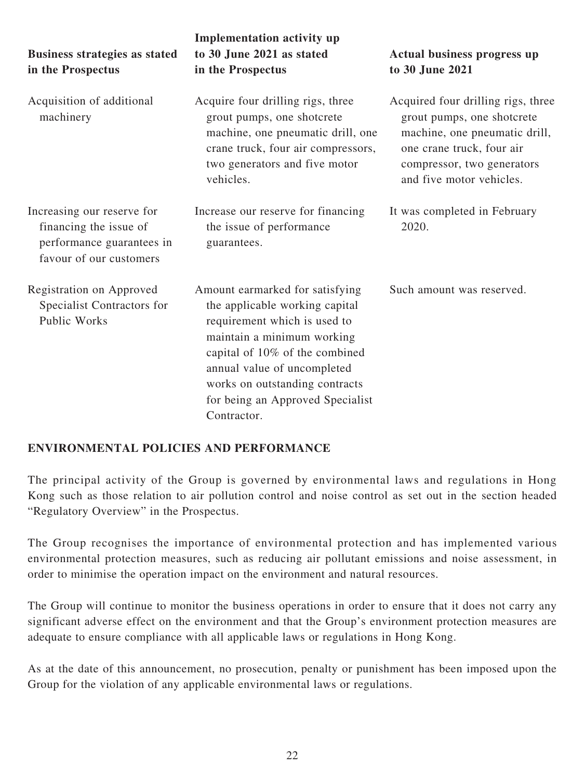| <b>Business strategies as stated</b><br>in the Prospectus                                                    | <b>Implementation activity up</b><br>to 30 June 2021 as stated<br>in the Prospectus                                                                                                                                                                                                   | Actual business progress up<br>to 30 June 2021                                                                                                                                           |
|--------------------------------------------------------------------------------------------------------------|---------------------------------------------------------------------------------------------------------------------------------------------------------------------------------------------------------------------------------------------------------------------------------------|------------------------------------------------------------------------------------------------------------------------------------------------------------------------------------------|
| Acquisition of additional<br>machinery                                                                       | Acquire four drilling rigs, three<br>grout pumps, one shotcrete<br>machine, one pneumatic drill, one<br>crane truck, four air compressors,<br>two generators and five motor<br>vehicles.                                                                                              | Acquired four drilling rigs, three<br>grout pumps, one shotcrete<br>machine, one pneumatic drill,<br>one crane truck, four air<br>compressor, two generators<br>and five motor vehicles. |
| Increasing our reserve for<br>financing the issue of<br>performance guarantees in<br>favour of our customers | Increase our reserve for financing<br>the issue of performance<br>guarantees.                                                                                                                                                                                                         | It was completed in February<br>2020.                                                                                                                                                    |
| Registration on Approved<br>Specialist Contractors for<br>Public Works                                       | Amount earmarked for satisfying<br>the applicable working capital<br>requirement which is used to<br>maintain a minimum working<br>capital of 10% of the combined<br>annual value of uncompleted<br>works on outstanding contracts<br>for being an Approved Specialist<br>Contractor. | Such amount was reserved.                                                                                                                                                                |

### **ENVIRONMENTAL POLICIES AND PERFORMANCE**

The principal activity of the Group is governed by environmental laws and regulations in Hong Kong such as those relation to air pollution control and noise control as set out in the section headed "Regulatory Overview" in the Prospectus.

The Group recognises the importance of environmental protection and has implemented various environmental protection measures, such as reducing air pollutant emissions and noise assessment, in order to minimise the operation impact on the environment and natural resources.

The Group will continue to monitor the business operations in order to ensure that it does not carry any significant adverse effect on the environment and that the Group's environment protection measures are adequate to ensure compliance with all applicable laws or regulations in Hong Kong.

As at the date of this announcement, no prosecution, penalty or punishment has been imposed upon the Group for the violation of any applicable environmental laws or regulations.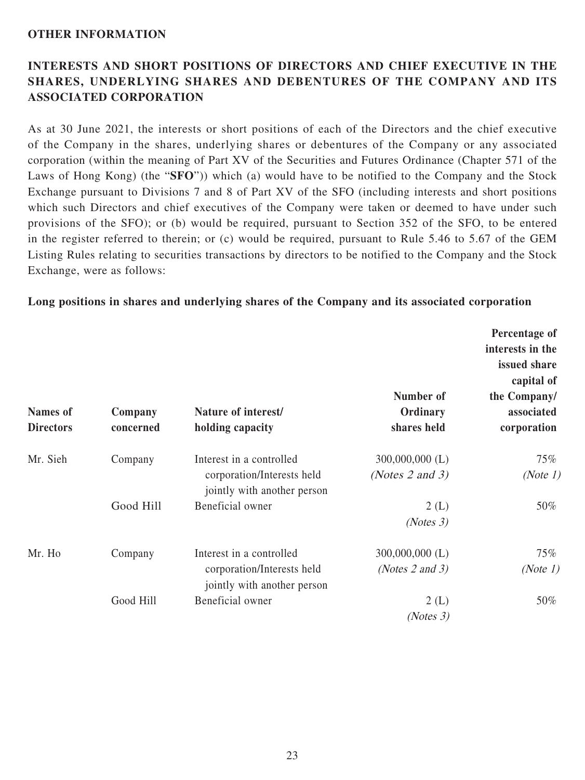#### **OTHER INFORMATION**

# **INTERESTS AND SHORT POSITIONS OF DIRECTORS AND CHIEF EXECUTIVE IN THE SHARES, UNDERLYING SHARES AND DEBENTURES OF THE COMPANY AND ITS ASSOCIATED CORPORATION**

As at 30 June 2021, the interests or short positions of each of the Directors and the chief executive of the Company in the shares, underlying shares or debentures of the Company or any associated corporation (within the meaning of Part XV of the Securities and Futures Ordinance (Chapter 571 of the Laws of Hong Kong) (the "**SFO**")) which (a) would have to be notified to the Company and the Stock Exchange pursuant to Divisions 7 and 8 of Part XV of the SFO (including interests and short positions which such Directors and chief executives of the Company were taken or deemed to have under such provisions of the SFO); or (b) would be required, pursuant to Section 352 of the SFO, to be entered in the register referred to therein; or (c) would be required, pursuant to Rule 5.46 to 5.67 of the GEM Listing Rules relating to securities transactions by directors to be notified to the Company and the Stock Exchange, were as follows:

#### **Long positions in shares and underlying shares of the Company and its associated corporation**

| <b>Names of</b><br><b>Directors</b> | Company<br>concerned | Nature of interest/<br>holding capacity                                               | Number of<br>Ordinary<br>shares held      | Percentage of<br>interests in the<br>issued share<br>capital of<br>the Company/<br>associated<br>corporation |
|-------------------------------------|----------------------|---------------------------------------------------------------------------------------|-------------------------------------------|--------------------------------------------------------------------------------------------------------------|
| Mr. Sieh                            | Company              | Interest in a controlled<br>corporation/Interests held<br>jointly with another person | $300,000,000$ (L)<br>(Notes $2$ and $3$ ) | $75\%$<br>(Note 1)                                                                                           |
|                                     | Good Hill            | Beneficial owner                                                                      | 2(L)<br>(Notes 3)                         | 50%                                                                                                          |
| Mr. Ho                              | Company              | Interest in a controlled<br>corporation/Interests held<br>jointly with another person | $300,000,000$ (L)<br>(Notes $2$ and $3$ ) | $75\%$<br>(Note 1)                                                                                           |
|                                     | Good Hill            | Beneficial owner                                                                      | 2(L)<br>(Notes 3)                         | 50%                                                                                                          |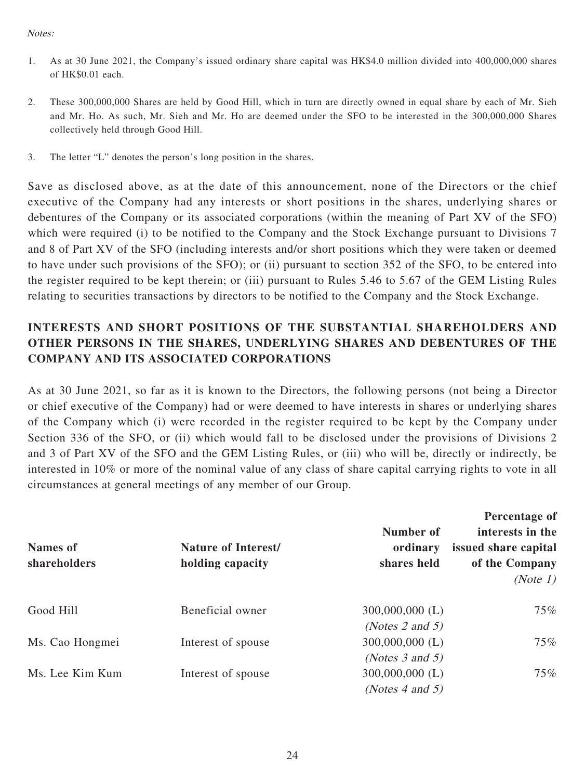#### Notes:

- 1. As at 30 June 2021, the Company's issued ordinary share capital was HK\$4.0 million divided into 400,000,000 shares of HK\$0.01 each.
- 2. These 300,000,000 Shares are held by Good Hill, which in turn are directly owned in equal share by each of Mr. Sieh and Mr. Ho. As such, Mr. Sieh and Mr. Ho are deemed under the SFO to be interested in the 300,000,000 Shares collectively held through Good Hill.
- 3. The letter "L" denotes the person's long position in the shares.

Save as disclosed above, as at the date of this announcement, none of the Directors or the chief executive of the Company had any interests or short positions in the shares, underlying shares or debentures of the Company or its associated corporations (within the meaning of Part XV of the SFO) which were required (i) to be notified to the Company and the Stock Exchange pursuant to Divisions 7 and 8 of Part XV of the SFO (including interests and/or short positions which they were taken or deemed to have under such provisions of the SFO); or (ii) pursuant to section 352 of the SFO, to be entered into the register required to be kept therein; or (iii) pursuant to Rules 5.46 to 5.67 of the GEM Listing Rules relating to securities transactions by directors to be notified to the Company and the Stock Exchange.

# **INTERESTS AND SHORT POSITIONS OF THE SUBSTANTIAL SHAREHOLDERS AND OTHER PERSONS IN THE SHARES, UNDERLYING SHARES AND DEBENTURES OF THE COMPANY AND ITS ASSOCIATED CORPORATIONS**

As at 30 June 2021, so far as it is known to the Directors, the following persons (not being a Director or chief executive of the Company) had or were deemed to have interests in shares or underlying shares of the Company which (i) were recorded in the register required to be kept by the Company under Section 336 of the SFO, or (ii) which would fall to be disclosed under the provisions of Divisions 2 and 3 of Part XV of the SFO and the GEM Listing Rules, or (iii) who will be, directly or indirectly, be interested in 10% or more of the nominal value of any class of share capital carrying rights to vote in all circumstances at general meetings of any member of our Group.

| <b>Names of</b><br>shareholders | <b>Nature of Interest/</b><br>holding capacity | Number of<br>ordinary<br>shares held | Percentage of<br>interests in the<br>issued share capital<br>of the Company<br>(Note 1) |
|---------------------------------|------------------------------------------------|--------------------------------------|-----------------------------------------------------------------------------------------|
| Good Hill                       | Beneficial owner                               | $300,000,000$ (L)                    | $75\%$                                                                                  |
|                                 |                                                | (Notes 2 and 5)                      |                                                                                         |
| Ms. Cao Hongmei                 | Interest of spouse                             | $300,000,000$ (L)                    | $75\%$                                                                                  |
|                                 |                                                | (Notes $3$ and $5$ )                 |                                                                                         |
| Ms. Lee Kim Kum                 | Interest of spouse                             | $300,000,000$ (L)                    | 75%                                                                                     |
|                                 |                                                | (Notes 4 and 5)                      |                                                                                         |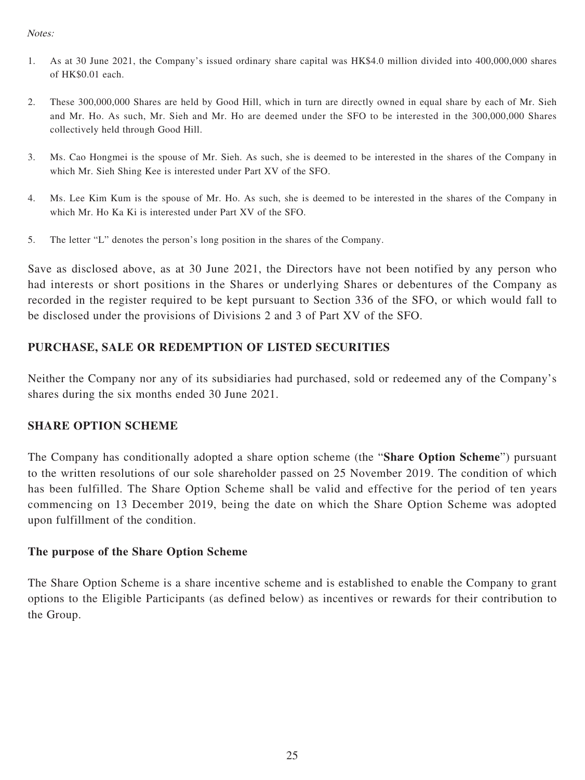#### Notes:

- 1. As at 30 June 2021, the Company's issued ordinary share capital was HK\$4.0 million divided into 400,000,000 shares of HK\$0.01 each.
- 2. These 300,000,000 Shares are held by Good Hill, which in turn are directly owned in equal share by each of Mr. Sieh and Mr. Ho. As such, Mr. Sieh and Mr. Ho are deemed under the SFO to be interested in the 300,000,000 Shares collectively held through Good Hill.
- 3. Ms. Cao Hongmei is the spouse of Mr. Sieh. As such, she is deemed to be interested in the shares of the Company in which Mr. Sieh Shing Kee is interested under Part XV of the SFO.
- 4. Ms. Lee Kim Kum is the spouse of Mr. Ho. As such, she is deemed to be interested in the shares of the Company in which Mr. Ho Ka Ki is interested under Part XV of the SFO.
- 5. The letter "L" denotes the person's long position in the shares of the Company.

Save as disclosed above, as at 30 June 2021, the Directors have not been notified by any person who had interests or short positions in the Shares or underlying Shares or debentures of the Company as recorded in the register required to be kept pursuant to Section 336 of the SFO, or which would fall to be disclosed under the provisions of Divisions 2 and 3 of Part XV of the SFO.

## **PURCHASE, SALE OR REDEMPTION OF LISTED SECURITIES**

Neither the Company nor any of its subsidiaries had purchased, sold or redeemed any of the Company's shares during the six months ended 30 June 2021.

### **SHARE OPTION SCHEME**

The Company has conditionally adopted a share option scheme (the "**Share Option Scheme**") pursuant to the written resolutions of our sole shareholder passed on 25 November 2019. The condition of which has been fulfilled. The Share Option Scheme shall be valid and effective for the period of ten years commencing on 13 December 2019, being the date on which the Share Option Scheme was adopted upon fulfillment of the condition.

### **The purpose of the Share Option Scheme**

The Share Option Scheme is a share incentive scheme and is established to enable the Company to grant options to the Eligible Participants (as defined below) as incentives or rewards for their contribution to the Group.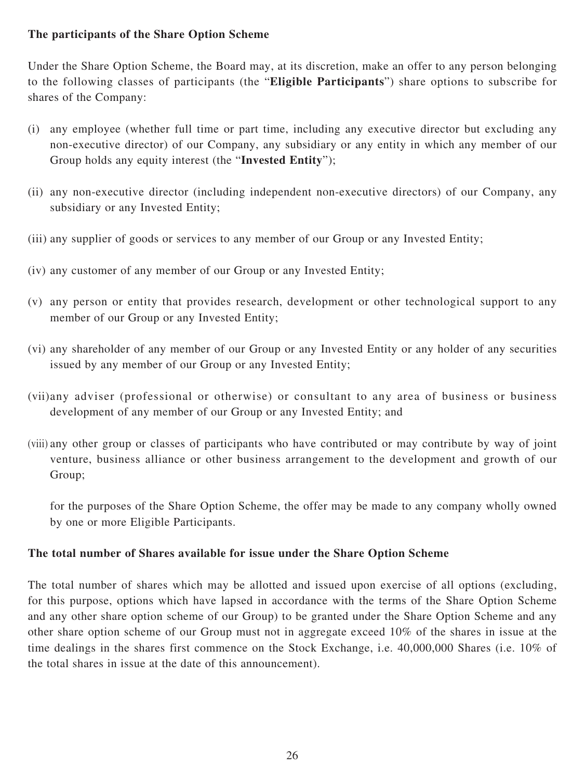## **The participants of the Share Option Scheme**

Under the Share Option Scheme, the Board may, at its discretion, make an offer to any person belonging to the following classes of participants (the "**Eligible Participants**") share options to subscribe for shares of the Company:

- (i) any employee (whether full time or part time, including any executive director but excluding any non-executive director) of our Company, any subsidiary or any entity in which any member of our Group holds any equity interest (the "**Invested Entity**");
- (ii) any non-executive director (including independent non-executive directors) of our Company, any subsidiary or any Invested Entity;
- (iii) any supplier of goods or services to any member of our Group or any Invested Entity;
- (iv) any customer of any member of our Group or any Invested Entity;
- (v) any person or entity that provides research, development or other technological support to any member of our Group or any Invested Entity;
- (vi) any shareholder of any member of our Group or any Invested Entity or any holder of any securities issued by any member of our Group or any Invested Entity;
- (vii) any adviser (professional or otherwise) or consultant to any area of business or business development of any member of our Group or any Invested Entity; and
- (viii) any other group or classes of participants who have contributed or may contribute by way of joint venture, business alliance or other business arrangement to the development and growth of our Group;

for the purposes of the Share Option Scheme, the offer may be made to any company wholly owned by one or more Eligible Participants.

#### **The total number of Shares available for issue under the Share Option Scheme**

The total number of shares which may be allotted and issued upon exercise of all options (excluding, for this purpose, options which have lapsed in accordance with the terms of the Share Option Scheme and any other share option scheme of our Group) to be granted under the Share Option Scheme and any other share option scheme of our Group must not in aggregate exceed 10% of the shares in issue at the time dealings in the shares first commence on the Stock Exchange, i.e. 40,000,000 Shares (i.e. 10% of the total shares in issue at the date of this announcement).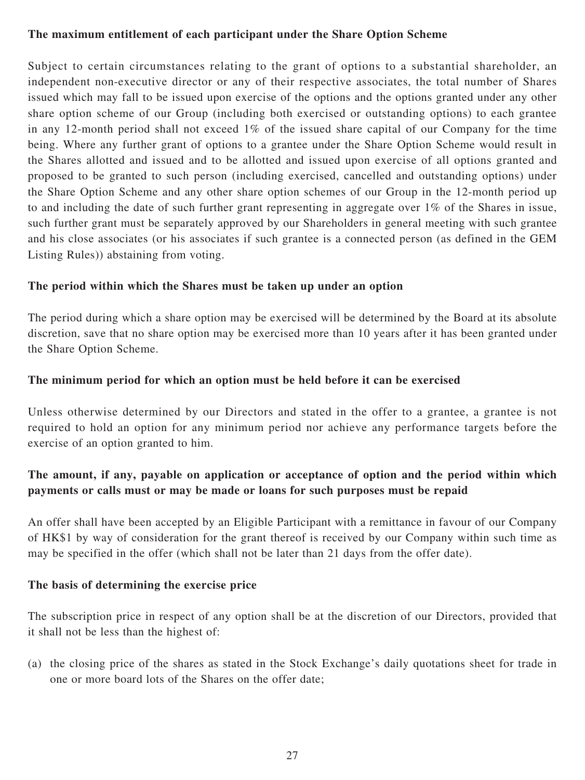### **The maximum entitlement of each participant under the Share Option Scheme**

Subject to certain circumstances relating to the grant of options to a substantial shareholder, an independent non-executive director or any of their respective associates, the total number of Shares issued which may fall to be issued upon exercise of the options and the options granted under any other share option scheme of our Group (including both exercised or outstanding options) to each grantee in any 12-month period shall not exceed 1% of the issued share capital of our Company for the time being. Where any further grant of options to a grantee under the Share Option Scheme would result in the Shares allotted and issued and to be allotted and issued upon exercise of all options granted and proposed to be granted to such person (including exercised, cancelled and outstanding options) under the Share Option Scheme and any other share option schemes of our Group in the 12-month period up to and including the date of such further grant representing in aggregate over  $1\%$  of the Shares in issue, such further grant must be separately approved by our Shareholders in general meeting with such grantee and his close associates (or his associates if such grantee is a connected person (as defined in the GEM Listing Rules)) abstaining from voting.

### **The period within which the Shares must be taken up under an option**

The period during which a share option may be exercised will be determined by the Board at its absolute discretion, save that no share option may be exercised more than 10 years after it has been granted under the Share Option Scheme.

## **The minimum period for which an option must be held before it can be exercised**

Unless otherwise determined by our Directors and stated in the offer to a grantee, a grantee is not required to hold an option for any minimum period nor achieve any performance targets before the exercise of an option granted to him.

# **The amount, if any, payable on application or acceptance of option and the period within which payments or calls must or may be made or loans for such purposes must be repaid**

An offer shall have been accepted by an Eligible Participant with a remittance in favour of our Company of HK\$1 by way of consideration for the grant thereof is received by our Company within such time as may be specified in the offer (which shall not be later than 21 days from the offer date).

### **The basis of determining the exercise price**

The subscription price in respect of any option shall be at the discretion of our Directors, provided that it shall not be less than the highest of:

(a) the closing price of the shares as stated in the Stock Exchange's daily quotations sheet for trade in one or more board lots of the Shares on the offer date;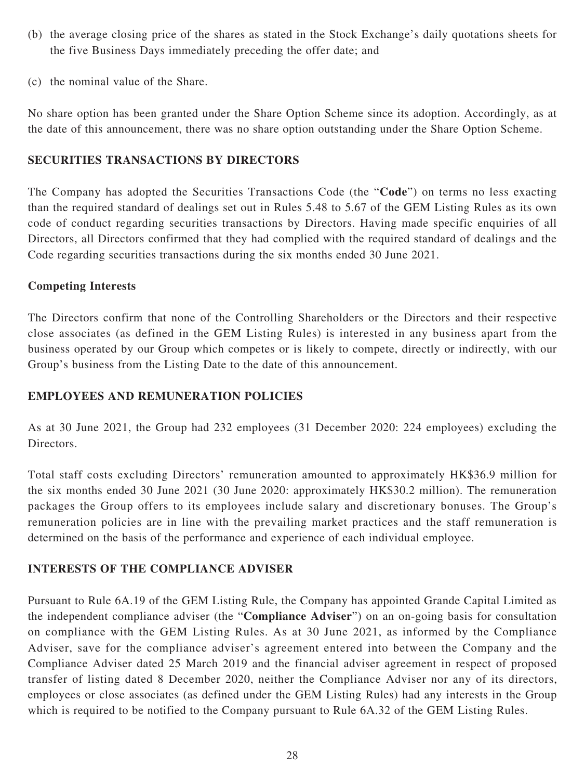- (b) the average closing price of the shares as stated in the Stock Exchange's daily quotations sheets for the five Business Days immediately preceding the offer date; and
- (c) the nominal value of the Share.

No share option has been granted under the Share Option Scheme since its adoption. Accordingly, as at the date of this announcement, there was no share option outstanding under the Share Option Scheme.

#### **SECURITIES TRANSACTIONS BY DIRECTORS**

The Company has adopted the Securities Transactions Code (the "**Code**") on terms no less exacting than the required standard of dealings set out in Rules 5.48 to 5.67 of the GEM Listing Rules as its own code of conduct regarding securities transactions by Directors. Having made specific enquiries of all Directors, all Directors confirmed that they had complied with the required standard of dealings and the Code regarding securities transactions during the six months ended 30 June 2021.

### **Competing Interests**

The Directors confirm that none of the Controlling Shareholders or the Directors and their respective close associates (as defined in the GEM Listing Rules) is interested in any business apart from the business operated by our Group which competes or is likely to compete, directly or indirectly, with our Group's business from the Listing Date to the date of this announcement.

### **EMPLOYEES AND REMUNERATION POLICIES**

As at 30 June 2021, the Group had 232 employees (31 December 2020: 224 employees) excluding the Directors.

Total staff costs excluding Directors' remuneration amounted to approximately HK\$36.9 million for the six months ended 30 June 2021 (30 June 2020: approximately HK\$30.2 million). The remuneration packages the Group offers to its employees include salary and discretionary bonuses. The Group's remuneration policies are in line with the prevailing market practices and the staff remuneration is determined on the basis of the performance and experience of each individual employee.

### **INTERESTS OF THE COMPLIANCE ADVISER**

Pursuant to Rule 6A.19 of the GEM Listing Rule, the Company has appointed Grande Capital Limited as the independent compliance adviser (the "**Compliance Adviser**") on an on-going basis for consultation on compliance with the GEM Listing Rules. As at 30 June 2021, as informed by the Compliance Adviser, save for the compliance adviser's agreement entered into between the Company and the Compliance Adviser dated 25 March 2019 and the financial adviser agreement in respect of proposed transfer of listing dated 8 December 2020, neither the Compliance Adviser nor any of its directors, employees or close associates (as defined under the GEM Listing Rules) had any interests in the Group which is required to be notified to the Company pursuant to Rule 6A.32 of the GEM Listing Rules.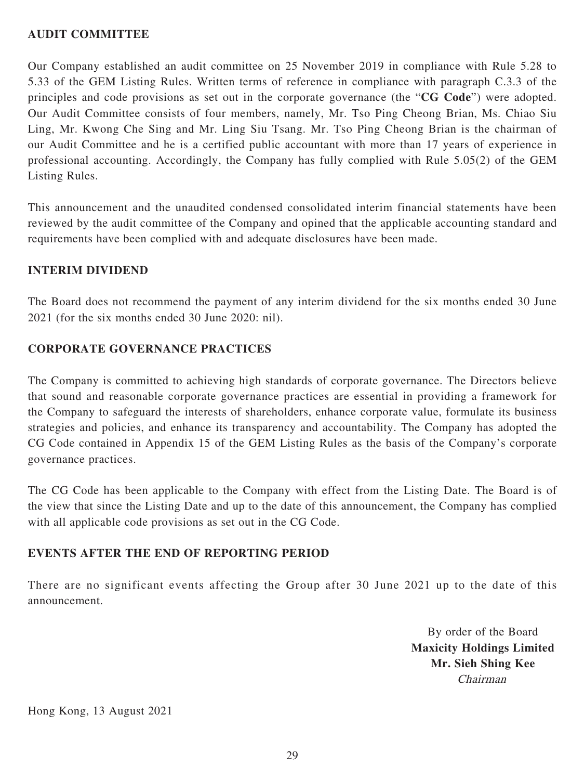## **AUDIT COMMITTEE**

Our Company established an audit committee on 25 November 2019 in compliance with Rule 5.28 to 5.33 of the GEM Listing Rules. Written terms of reference in compliance with paragraph C.3.3 of the principles and code provisions as set out in the corporate governance (the "**CG Code**") were adopted. Our Audit Committee consists of four members, namely, Mr. Tso Ping Cheong Brian, Ms. Chiao Siu Ling, Mr. Kwong Che Sing and Mr. Ling Siu Tsang. Mr. Tso Ping Cheong Brian is the chairman of our Audit Committee and he is a certified public accountant with more than 17 years of experience in professional accounting. Accordingly, the Company has fully complied with Rule 5.05(2) of the GEM Listing Rules.

This announcement and the unaudited condensed consolidated interim financial statements have been reviewed by the audit committee of the Company and opined that the applicable accounting standard and requirements have been complied with and adequate disclosures have been made.

### **INTERIM DIVIDEND**

The Board does not recommend the payment of any interim dividend for the six months ended 30 June 2021 (for the six months ended 30 June 2020: nil).

### **CORPORATE GOVERNANCE PRACTICES**

The Company is committed to achieving high standards of corporate governance. The Directors believe that sound and reasonable corporate governance practices are essential in providing a framework for the Company to safeguard the interests of shareholders, enhance corporate value, formulate its business strategies and policies, and enhance its transparency and accountability. The Company has adopted the CG Code contained in Appendix 15 of the GEM Listing Rules as the basis of the Company's corporate governance practices.

The CG Code has been applicable to the Company with effect from the Listing Date. The Board is of the view that since the Listing Date and up to the date of this announcement, the Company has complied with all applicable code provisions as set out in the CG Code.

### **EVENTS AFTER THE END OF REPORTING PERIOD**

There are no significant events affecting the Group after 30 June 2021 up to the date of this announcement.

> By order of the Board **Maxicity Holdings Limited Mr. Sieh Shing Kee** Chairman

Hong Kong, 13 August 2021